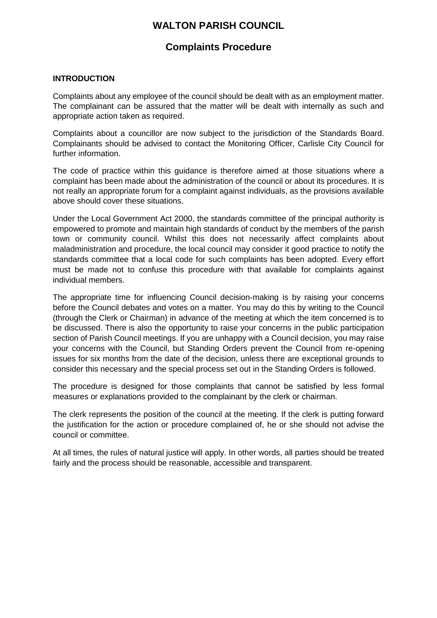# **WALTON PARISH COUNCIL**

# **Complaints Procedure**

## **INTRODUCTION**

Complaints about any employee of the council should be dealt with as an employment matter. The complainant can be assured that the matter will be dealt with internally as such and appropriate action taken as required.

Complaints about a councillor are now subject to the jurisdiction of the Standards Board. Complainants should be advised to contact the Monitoring Officer, Carlisle City Council for further information.

The code of practice within this guidance is therefore aimed at those situations where a complaint has been made about the administration of the council or about its procedures. It is not really an appropriate forum for a complaint against individuals, as the provisions available above should cover these situations.

Under the Local Government Act 2000, the standards committee of the principal authority is empowered to promote and maintain high standards of conduct by the members of the parish town or community council. Whilst this does not necessarily affect complaints about maladministration and procedure, the local council may consider it good practice to notify the standards committee that a local code for such complaints has been adopted. Every effort must be made not to confuse this procedure with that available for complaints against individual members.

The appropriate time for influencing Council decision-making is by raising your concerns before the Council debates and votes on a matter. You may do this by writing to the Council (through the Clerk or Chairman) in advance of the meeting at which the item concerned is to be discussed. There is also the opportunity to raise your concerns in the public participation section of Parish Council meetings. If you are unhappy with a Council decision, you may raise your concerns with the Council, but Standing Orders prevent the Council from re-opening issues for six months from the date of the decision, unless there are exceptional grounds to consider this necessary and the special process set out in the Standing Orders is followed.

The procedure is designed for those complaints that cannot be satisfied by less formal measures or explanations provided to the complainant by the clerk or chairman.

The clerk represents the position of the council at the meeting. If the clerk is putting forward the justification for the action or procedure complained of, he or she should not advise the council or committee.

At all times, the rules of natural justice will apply. In other words, all parties should be treated fairly and the process should be reasonable, accessible and transparent.